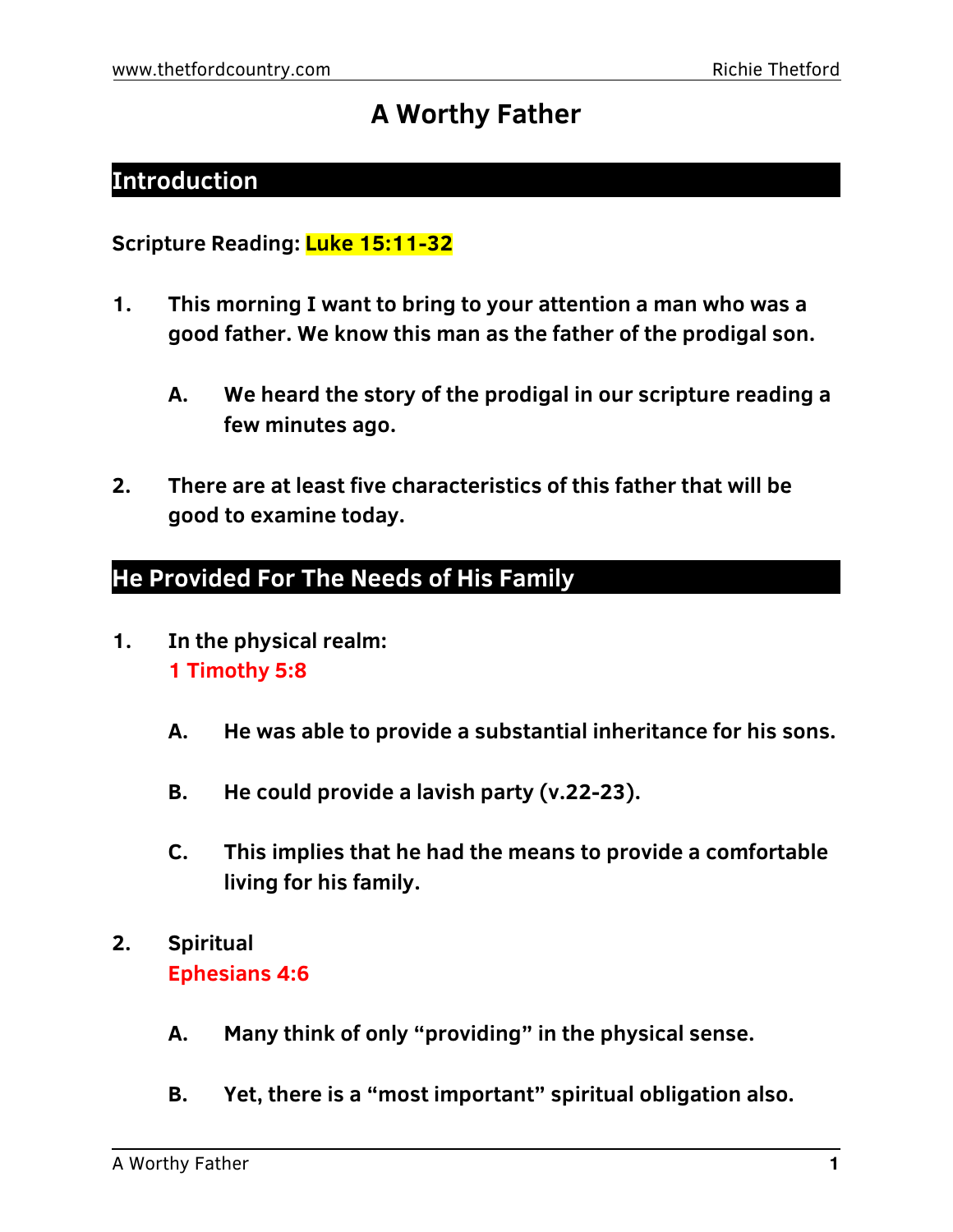# **A Worthy Father**

## **Introduction**

**Scripture Reading: Luke 15:11-32**

- **1. This morning I want to bring to your attention a man who was a good father. We know this man as the father of the prodigal son.**
	- **A. We heard the story of the prodigal in our scripture reading a few minutes ago.**
- **2. There are at least five characteristics of this father that will be good to examine today.**

## **He Provided For The Needs of His Family**

- **1. In the physical realm: 1 Timothy 5:8**
	- **A. He was able to provide a substantial inheritance for his sons.**
	- **B. He could provide a lavish party (v.22-23).**
	- **C. This implies that he had the means to provide a comfortable living for his family.**
- **2. Spiritual Ephesians 4:6**
	- **A. Many think of only "providing" in the physical sense.**
	- **B. Yet, there is a "most important" spiritual obligation also.**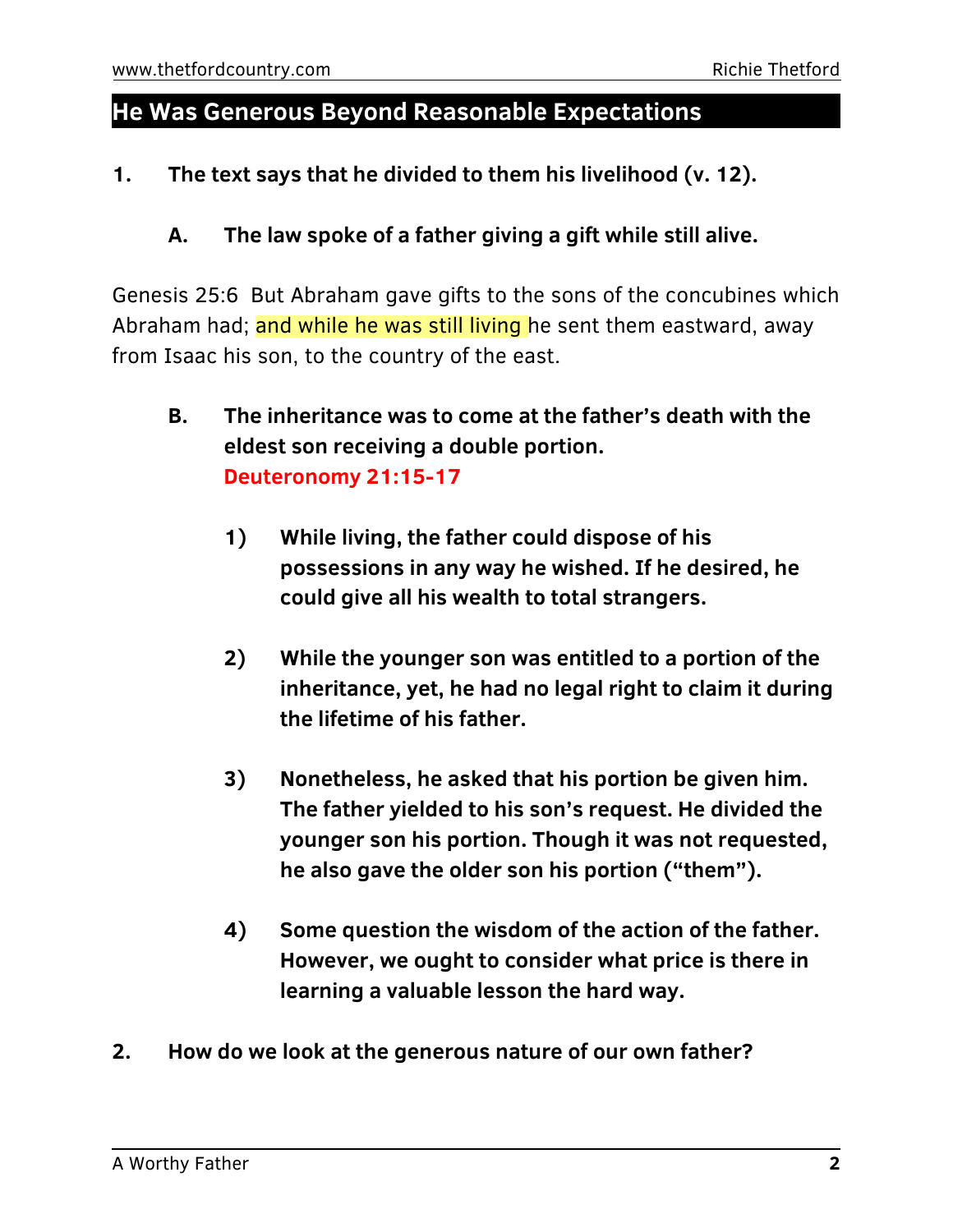#### **He Was Generous Beyond Reasonable Expectations**

**1. The text says that he divided to them his livelihood (v. 12).**

#### **A. The law spoke of a father giving a gift while still alive.**

Genesis 25:6 But Abraham gave gifts to the sons of the concubines which Abraham had; and while he was still living he sent them eastward, away from Isaac his son, to the country of the east.

- **B. The inheritance was to come at the father's death with the eldest son receiving a double portion. Deuteronomy 21:15-17**
	- **1) While living, the father could dispose of his possessions in any way he wished. If he desired, he could give all his wealth to total strangers.**
	- **2) While the younger son was entitled to a portion of the inheritance, yet, he had no legal right to claim it during the lifetime of his father.**
	- **3) Nonetheless, he asked that his portion be given him. The father yielded to his son's request. He divided the younger son his portion. Though it was not requested, he also gave the older son his portion ("them").**
	- **4) Some question the wisdom of the action of the father. However, we ought to consider what price is there in learning a valuable lesson the hard way.**
- **2. How do we look at the generous nature of our own father?**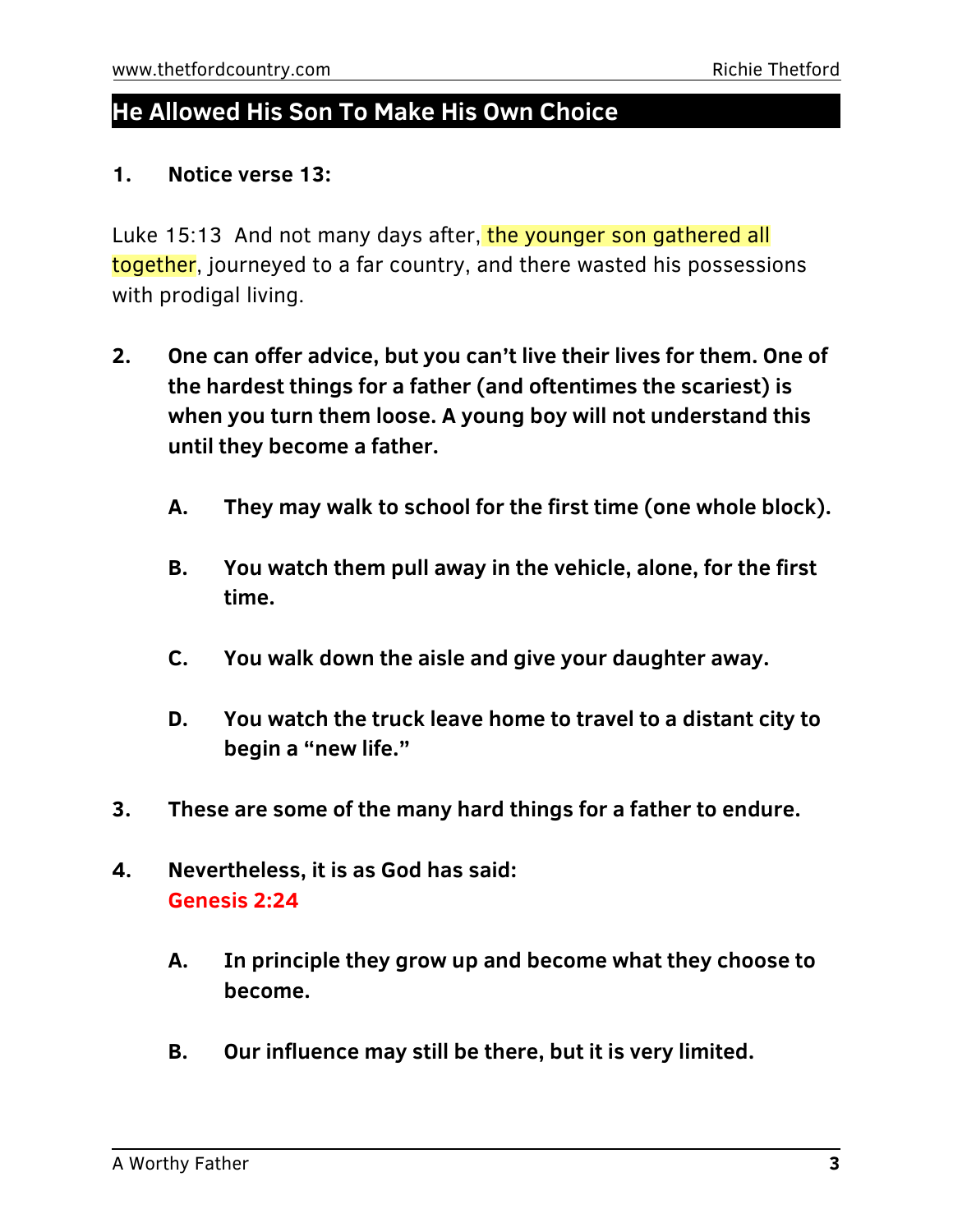### **He Allowed His Son To Make His Own Choice**

#### **1. Notice verse 13:**

Luke 15:13 And not many days after, the younger son gathered all together, journeyed to a far country, and there wasted his possessions with prodigal living.

- **2. One can offer advice, but you can't live their lives for them. One of the hardest things for a father (and oftentimes the scariest) is when you turn them loose. A young boy will not understand this until they become a father.**
	- **A. They may walk to school for the first time (one whole block).**
	- **B. You watch them pull away in the vehicle, alone, for the first time.**
	- **C. You walk down the aisle and give your daughter away.**
	- **D. You watch the truck leave home to travel to a distant city to begin a "new life."**
- **3. These are some of the many hard things for a father to endure.**
- **4. Nevertheless, it is as God has said: Genesis 2:24**
	- **A. In principle they grow up and become what they choose to become.**
	- **B. Our influence may still be there, but it is very limited.**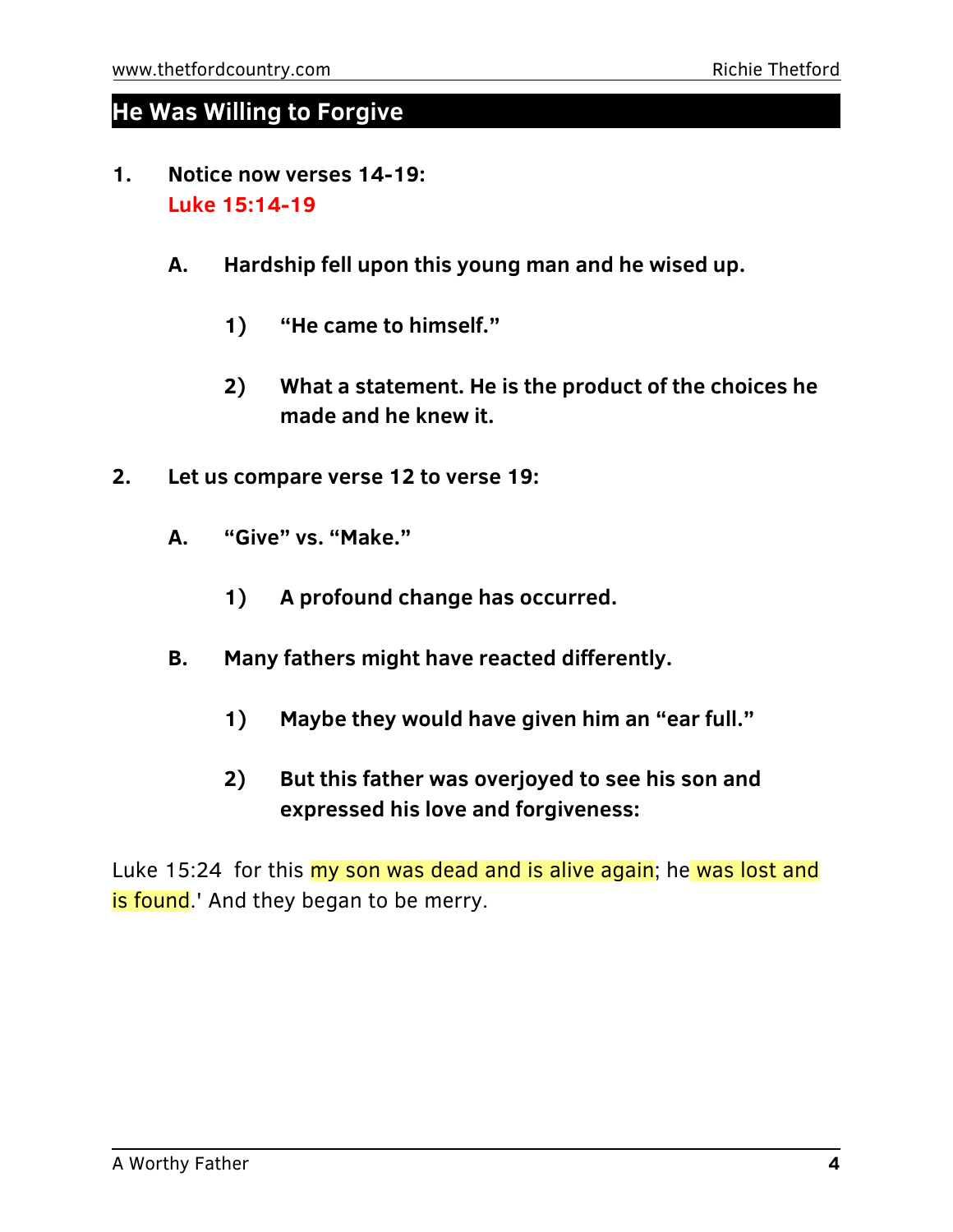### **He Was Willing to Forgive**

- **1. Notice now verses 14-19: Luke 15:14-19**
	- **A. Hardship fell upon this young man and he wised up.**
		- **1) "He came to himself."**
		- **2) What a statement. He is the product of the choices he made and he knew it.**
- **2. Let us compare verse 12 to verse 19:**
	- **A. "Give" vs. "Make."**
		- **1) A profound change has occurred.**
	- **B. Many fathers might have reacted differently.**
		- **1) Maybe they would have given him an "ear full."**
		- **2) But this father was overjoyed to see his son and expressed his love and forgiveness:**

Luke 15:24 for this my son was dead and is alive again; he was lost and is found.' And they began to be merry.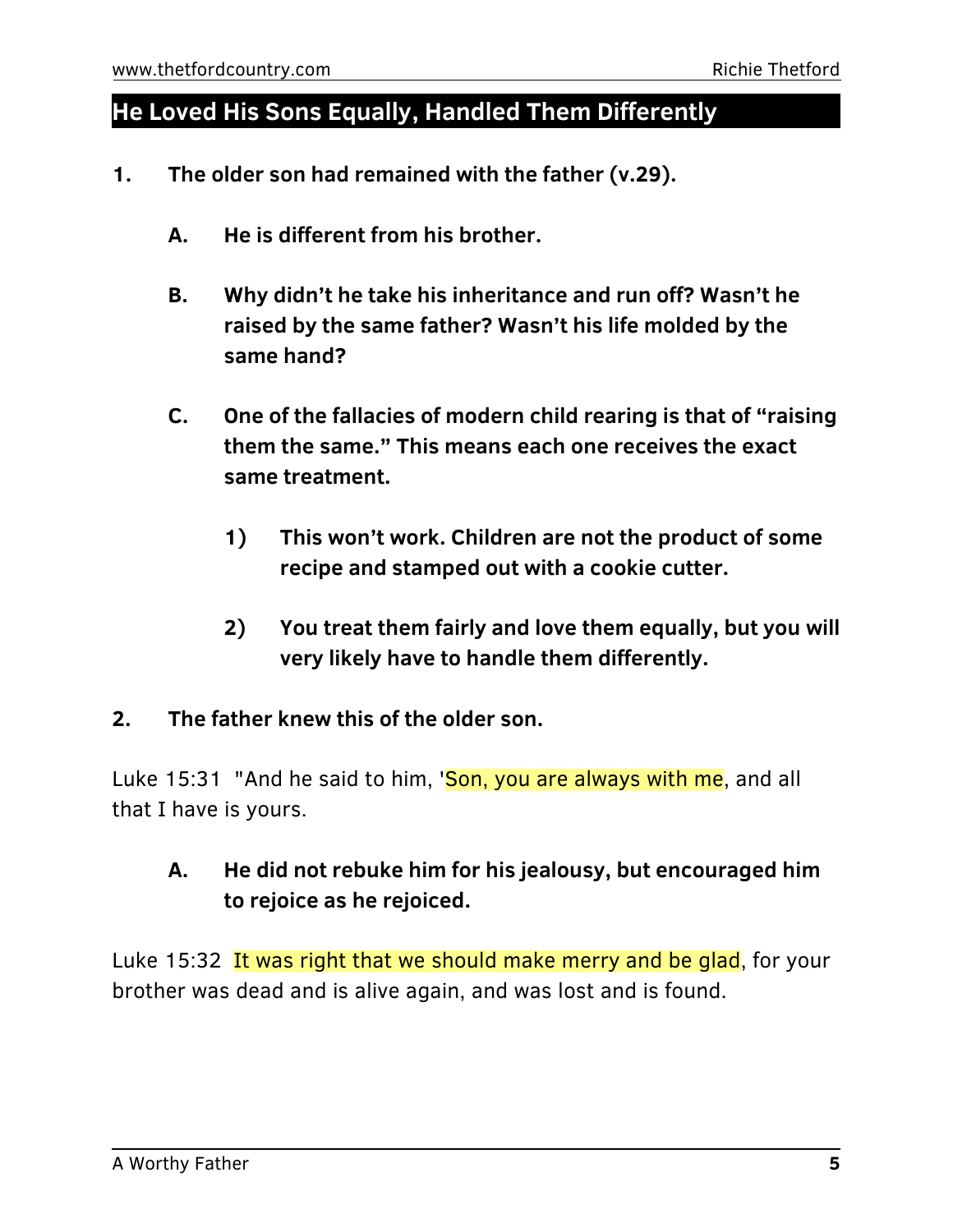### **He Loved His Sons Equally, Handled Them Differently**

- **1. The older son had remained with the father (v.29).**
	- **A. He is different from his brother.**
	- **B. Why didn't he take his inheritance and run off? Wasn't he raised by the same father? Wasn't his life molded by the same hand?**
	- **C. One of the fallacies of modern child rearing is that of "raising them the same." This means each one receives the exact same treatment.**
		- **1) This won't work. Children are not the product of some recipe and stamped out with a cookie cutter.**
		- **2) You treat them fairly and love them equally, but you will very likely have to handle them differently.**
- **2. The father knew this of the older son.**

Luke 15:31 "And he said to him, 'Son, you are always with me, and all that I have is yours.

### **A. He did not rebuke him for his jealousy, but encouraged him to rejoice as he rejoiced.**

Luke 15:32 It was right that we should make merry and be glad, for your brother was dead and is alive again, and was lost and is found.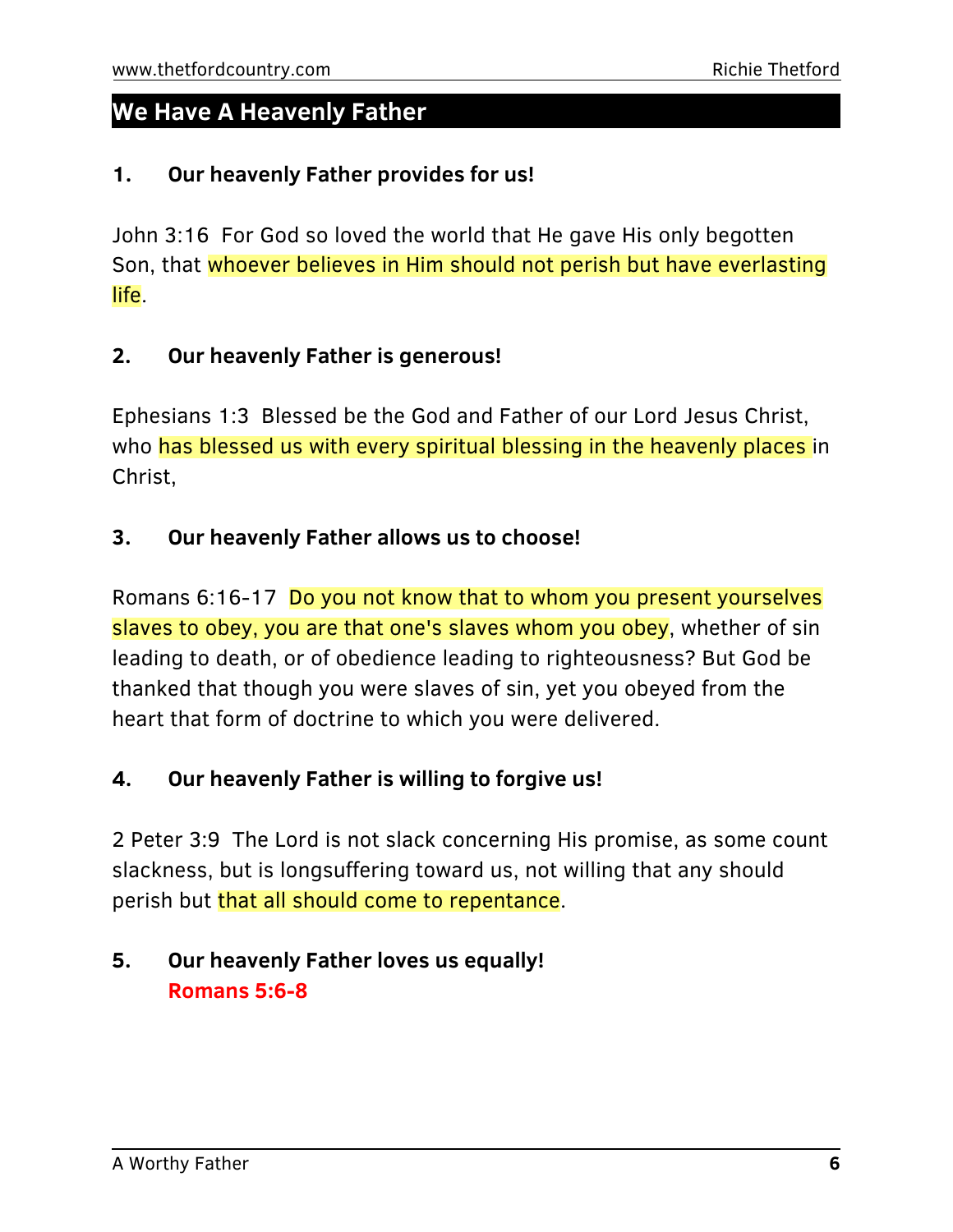### **We Have A Heavenly Father**

#### **1. Our heavenly Father provides for us!**

John 3:16 For God so loved the world that He gave His only begotten Son, that whoever believes in Him should not perish but have everlasting life.

#### **2. Our heavenly Father is generous!**

Ephesians 1:3 Blessed be the God and Father of our Lord Jesus Christ, who has blessed us with every spiritual blessing in the heavenly places in Christ,

#### **3. Our heavenly Father allows us to choose!**

Romans 6:16-17 Do you not know that to whom you present yourselves slaves to obey, you are that one's slaves whom you obey, whether of sin leading to death, or of obedience leading to righteousness? But God be thanked that though you were slaves of sin, yet you obeyed from the heart that form of doctrine to which you were delivered.

#### **4. Our heavenly Father is willing to forgive us!**

2 Peter 3:9 The Lord is not slack concerning His promise, as some count slackness, but is longsuffering toward us, not willing that any should perish but that all should come to repentance.

### **5. Our heavenly Father loves us equally! Romans 5:6-8**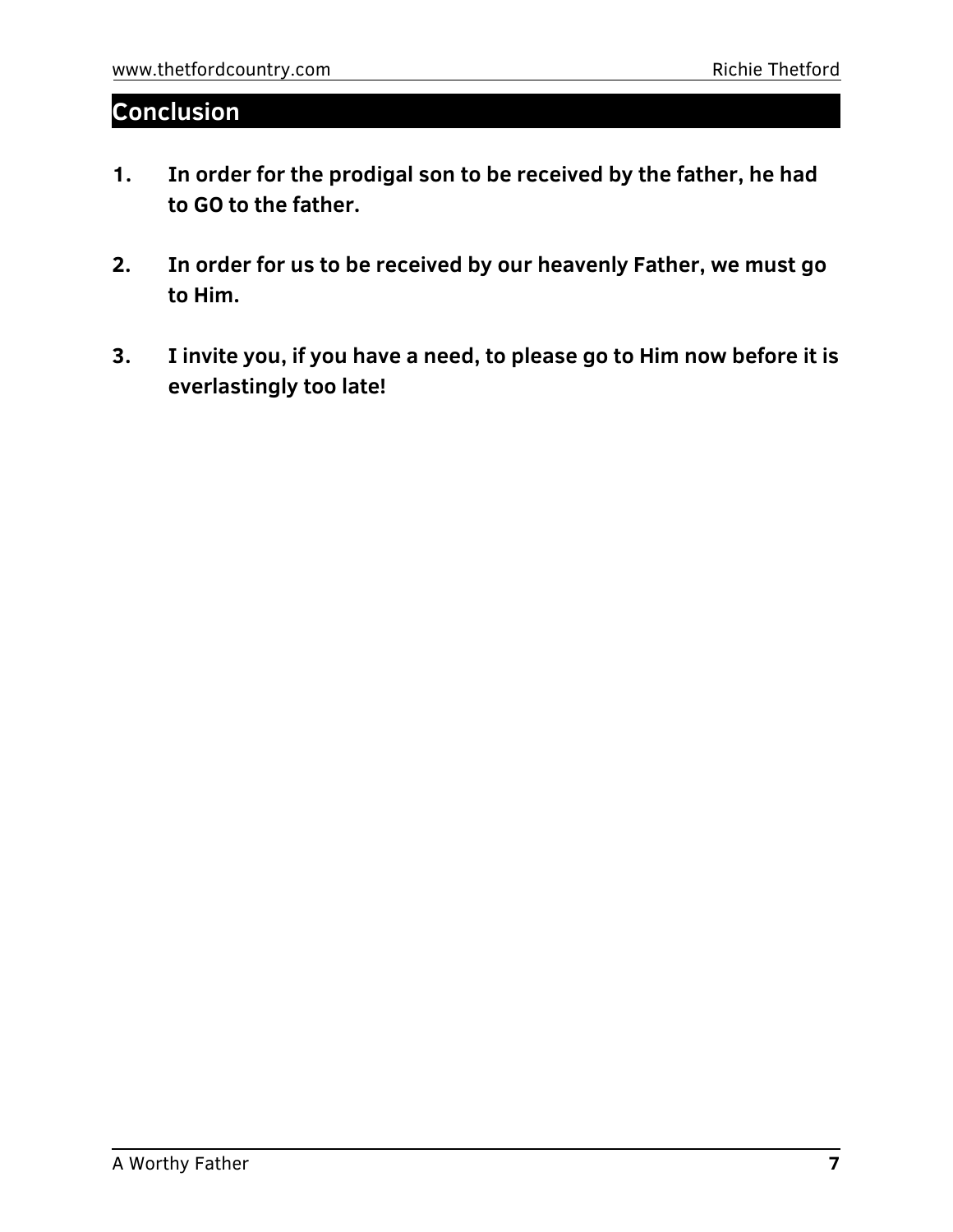### **Conclusion**

- **1. In order for the prodigal son to be received by the father, he had to GO to the father.**
- **2. In order for us to be received by our heavenly Father, we must go to Him.**
- **3. I invite you, if you have a need, to please go to Him now before it is everlastingly too late!**